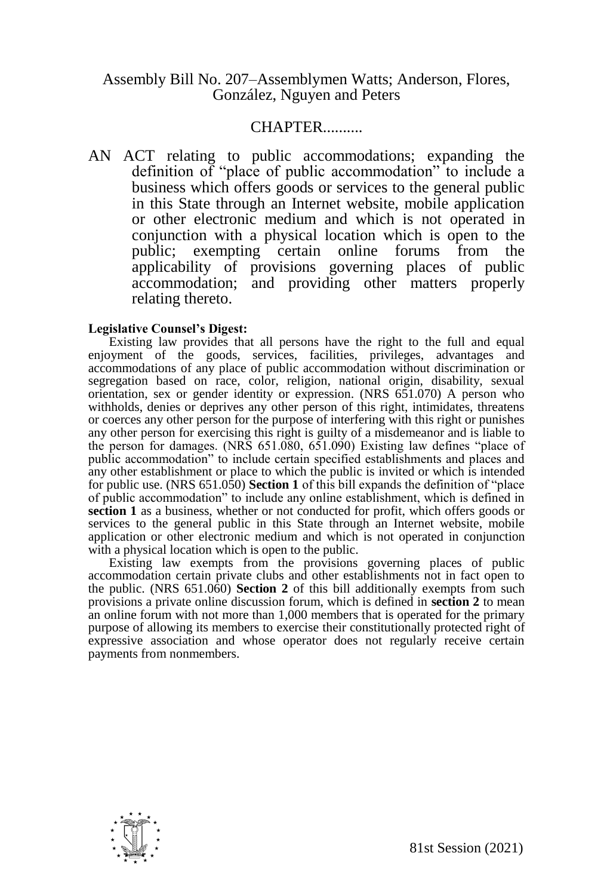Assembly Bill No. 207–Assemblymen Watts; Anderson, Flores, González, Nguyen and Peters

## CHAPTER..........

AN ACT relating to public accommodations; expanding the definition of "place of public accommodation" to include a business which offers goods or services to the general public in this State through an Internet website, mobile application or other electronic medium and which is not operated in conjunction with a physical location which is open to the public; exempting certain online forums from the applicability of provisions governing places of public accommodation; and providing other matters properly relating thereto.

## **Legislative Counsel's Digest:**

Existing law provides that all persons have the right to the full and equal enjoyment of the goods, services, facilities, privileges, advantages and accommodations of any place of public accommodation without discrimination or segregation based on race, color, religion, national origin, disability, sexual orientation, sex or gender identity or expression. (NRS 651.070) A person who withholds, denies or deprives any other person of this right, intimidates, threatens or coerces any other person for the purpose of interfering with this right or punishes any other person for exercising this right is guilty of a misdemeanor and is liable to the person for damages. (NRS  $651.080, 651.090$ ) Existing law defines "place of public accommodation" to include certain specified establishments and places and any other establishment or place to which the public is invited or which is intended for public use. (NRS 651.050) **Section 1** of this bill expands the definition of "place of public accommodation" to include any online establishment, which is defined in **section 1** as a business, whether or not conducted for profit, which offers goods or services to the general public in this State through an Internet website, mobile application or other electronic medium and which is not operated in conjunction with a physical location which is open to the public.

Existing law exempts from the provisions governing places of public accommodation certain private clubs and other establishments not in fact open to the public. (NRS 651.060) **Section 2** of this bill additionally exempts from such provisions a private online discussion forum, which is defined in **section 2** to mean an online forum with not more than 1,000 members that is operated for the primary purpose of allowing its members to exercise their constitutionally protected right of expressive association and whose operator does not regularly receive certain payments from nonmembers.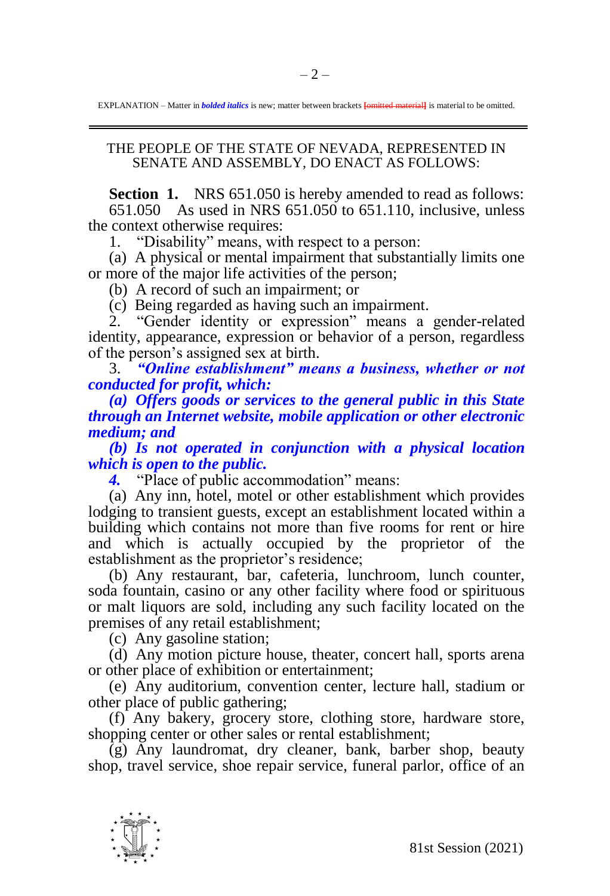## THE PEOPLE OF THE STATE OF NEVADA, REPRESENTED IN SENATE AND ASSEMBLY, DO ENACT AS FOLLOWS:

**Section 1.** NRS 651.050 is hereby amended to read as follows: 651.050 As used in NRS 651.050 to 651.110, inclusive, unless the context otherwise requires:

1. "Disability" means, with respect to a person:

(a) A physical or mental impairment that substantially limits one or more of the major life activities of the person;

(b) A record of such an impairment; or

(c) Being regarded as having such an impairment.

2. "Gender identity or expression" means a gender-related identity, appearance, expression or behavior of a person, regardless of the person's assigned sex at birth.

3. *"Online establishment" means a business, whether or not conducted for profit, which:*

*(a) Offers goods or services to the general public in this State through an Internet website, mobile application or other electronic medium; and*

*(b) Is not operated in conjunction with a physical location which is open to the public.*

*4.* "Place of public accommodation" means:

(a) Any inn, hotel, motel or other establishment which provides lodging to transient guests, except an establishment located within a building which contains not more than five rooms for rent or hire and which is actually occupied by the proprietor of the establishment as the proprietor's residence;

(b) Any restaurant, bar, cafeteria, lunchroom, lunch counter, soda fountain, casino or any other facility where food or spirituous or malt liquors are sold, including any such facility located on the premises of any retail establishment;

(c) Any gasoline station;

(d) Any motion picture house, theater, concert hall, sports arena or other place of exhibition or entertainment;

(e) Any auditorium, convention center, lecture hall, stadium or other place of public gathering;

(f) Any bakery, grocery store, clothing store, hardware store, shopping center or other sales or rental establishment;

 $\overline{g}$ ) Any laundromat, dry cleaner, bank, barber shop, beauty shop, travel service, shoe repair service, funeral parlor, office of an